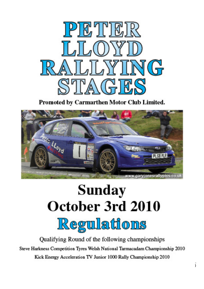

Promoted by Carmarthen Motor Club Limited.



# **Sunday** October 3rd 2010 <u>Regulations</u>

Qualifying Round of the following championships Steve Harkness Competition Tyres Welsh National Tarmacadam Championship 2010 Kick Energy Acceleration TV Junior 1000 Rally Championship 2010 **\_\_\_\_\_\_\_\_\_\_\_\_\_\_\_\_\_\_\_\_\_\_\_\_\_\_\_\_\_\_\_\_\_\_\_\_\_\_\_\_\_\_\_\_\_\_\_\_\_\_\_\_\_\_\_\_\_\_\_\_\_\_\_\_\_\_**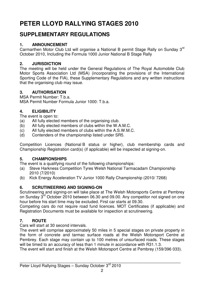# **PETER LLOYD RALLYING STAGES 2010**

### **SUPPLEMENTARY REGULATIONS**

#### **1. ANNOUNCEMENT**

Carmarthen Motor Club Ltd will organise a National B permit Stage Rally on Sunday 3rd October 2010, Including the Formula 1000 Junior National B Stage Rally

#### **2. JURISDICTION**

The meeting will be held under the General Regulations of The Royal Automobile Club Motor Sports Association Ltd (MSA) (incorporating the provisions of the International Sporting Code of the FIA), these Supplementary Regulations and any written instructions that the organising club may issue.

#### **3. AUTHORISATION**

MSA Permit Number: T.b.a.

MSA Permit Number Formula Junior 1000: T.b.a.

#### **4. ELIGIBILITY**

The event is open to:

- (a) All fully elected members of the organising club.
- (b) All fully elected members of clubs within the W.A.M.C.
- (c) All fully elected members of clubs within the A.S.W.M.C.
- (d) Contenders of the championship listed under SR5.

Competition Licences (National B status or higher), club membership cards and Championship Registration card(s) (if applicable) will be inspected at signing-on.

#### **5. CHAMPIONSHIPS**

The event is a qualifying round of the following championships:

- (a) Steve Harkness Competition Tyres Welsh National Tarmacadam Championship 2010 (7/2010)
- (b) Kick Energy Acceleration TV Junior 1000 Rally Championship (2010/ 7268)

#### **6. SCRUTINEERING AND SIGNING-ON**

Scrutineering and signing-on will take place at The Welsh Motorsports Centre at Pembrey on Sunday 3<sup>rd</sup> October 2010 between 06.30 and 09.00. Any competitor not signed on one hour before his start time may be excluded. First car starts at 09.30.

Competing cars do not require road fund licences. MOT Certificates (if applicable) and Registration Documents must be available for inspection at scrutineering.

#### **7. ROUTE**

Cars will start at 30 second intervals.

The event will comprise approximately 50 miles in 5 special stages on private property in the form of concrete and tarmac surface roads at the Welsh Motorsport Centre at Pembrey. Each stage may contain up to 100 metres of unsurfaced roads. These stages will be timed to an accuracy of less than 1 minute in accordance with R31.1.3.

The event will start and finish at the Welsh Motorsport Centre at Pembrey (159/396 033).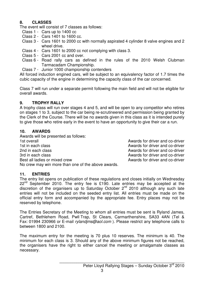#### **8. CLASSES**

The event will consist of 7 classes as follows:

- Class 1 Cars up to 1400 cc
- Class 2 Cars 1401 to 1600 cc.
- Class 3 Cars 1601 to 2000 cc with normally aspirated 4 cylinder 8 valve engines and 2 wheel drive.
- Class 4 Cars 1601 to 2000 cc not complying with class 3.
- Class 5 Cars 2001 cc and over.
- Class 6 Road rally cars as defined in the rules of the 2010 Welsh Clubman Tarmacadam Championship.
- Class 7 Junior 1000 championship contenders

All forced induction engined cars, will be subject to an equivalency factor of 1.7 times the cubic capacity of the engine in determining the capacity class of the car concerned.

Class 7 will run under a separate permit following the main field and will not be eligible for overall awards.

#### **9. TROPHY RALLY**

A trophy class will run over stages 4 and 5, and will be open to any competitor who retires on stages 1 to 3, subject to the car being re-scrutineered and permission being granted by the Clerk of the Course. There will be no awards given in this class as it is intended purely to give those who retire early in the event to have an opportunity to give their car a run.

#### **10. AWARDS**

Awards will be presented as follows: 1st overall and co-driver and co-driver and co-driver 1st in each class **Awards** for driver and co-driver 2nd in each class **Awards for driver and co-driver** 2nd in each class Awards for driver and co-driver 3rd in each class Awards for driver and co-driver Best all ladies or mixed crew and co-driver and co-driver No crew may win more than one of the above awards.

#### **11. ENTRIES**

The entry list opens on publication of these regulations and closes initially on Wednesday  $22^{nd}$  September 2010. The entry fee is £190. Late entries may be accepted at the discretion of the organisers up to Saturday October  $2^{nd}$  2010 although any such late entries will not be included on the seeded entry list. All entries must be made on the official entry form and accompanied by the appropriate fee. Entry places may not be reserved by telephone.

The Entries Secretary of the Meeting to whom all entries must be sent is Ryland James, Cartref, Bethlehem Road, Pwll Trap, St Clears, Carmarthenshire, SA33 4AN (Tel & Fax: 01994 230966 or E-mail *rylandims@aol.com*). Please restrict any telephone calls to between 1800 and 2100.

The maximum entry for the meeting is 70 plus 10 reserves. The minimum is 40. The minimum for each class is 3. Should any of the above minimum figures not be reached, the organisers have the right to either cancel the meeting or amalgamate classes as necessary.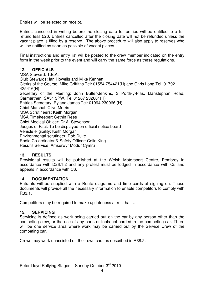Entries will be selected on receipt.

Entries cancelled in writing before the closing date for entries will be entitled to a full refund less £20. Entries cancelled after the closing date will not be refunded unless the vacant place is filled by a reserve. The above procedure will also apply to reserves who will be notified as soon as possible of vacant places.

Final instructions and entry list will be posted to the crew member indicated on the entry form in the week prior to the event and will carry the same force as these regulations.

#### **12. OFFICIALS**

MSA Steward: T.B.A. Club Stewards: Ian Howells and Mike Kennett Clerks of the Course: Mike Griffiths Tel: 01554 754421(H) and Chris Long Tel: 01792 425416(H) Secretary of the Meeting: John Butler-Jenkins, 3 Porth-y-Plas, Llanstephan Road, Carmarthen, SA31 3PW. Tel:01267 232601(H) Entries Secretary: Ryland James Tel: 01994 230966 (H) Chief Marshal: Clive Morris MSA Scrutineers: Keith Morgan MSA Timekeeper: Gethin Rees Chief Medical Officer: Dr A. Stevenson Judges of Fact: To be displayed on official notice board Vehicle eligibility: Keith Morgan Environmental scrutineer: Rob Duke Radio Co-ordinator & Safety Officer: Colin King Results Service: Amserwyr Modur Cymru

#### **13. RESULTS**

Provisional results will be published at the Welsh Motorsport Centre, Pembrey in accordance with D26.1.2 and any protest must be lodged in accordance with C5 and appeals in accordance with C6.

#### **14. DOCUMENTATION**

Entrants will be supplied with a Route diagrams and time cards at signing on. These documents will provide all the necessary information to enable competitors to comply with R33.1.

Competitors may be required to make up lateness at rest halts.

#### **15. SERVICING**

Servicing is defined as work being carried out on the car by any person other than the competing crew, or the use of any parts or tools not carried in the competing car. There will be one service area where work may be carried out by the Service Crew of the competing car.

Crews may work unassisted on their own cars as described in R38.2.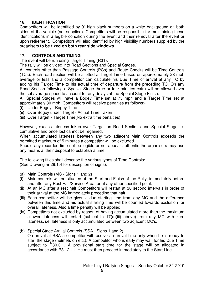#### **16. IDENTIFICATION**

Competitors will be identified by 9" high black numbers on a white background on both sides of the vehicle (not supplied). Competitors will be responsible for maintaining these identifications in a legible condition during the event and their removal after the event or upon retirement. Competitors will also identified by high visibility numbers supplied by the organisers **to be fixed on both rear side windows**.

#### **17. CONTROLS AND TIMING**

The event will be run using Target Timing (R31).

The rally will be divided into Road Sections and Special Stages.

All controls other than Passage Controls (PCs) and Route Checks will be Time Controls (TCs). Each road section will be allotted a Target Time based on approximately 28 mph average or less and a competitor can calculate his Due Time of arrival at any TC by adding his Target Time to his actual time of departure from the preceding TC. On any Road Section following a Special Stage three or four minutes extra will be allowed over the set average speed to account for any delays at the Special Stage Finish.

All Special Stages will have a Bogey Time set at 75 mph and a Target Time set at approximately 30 mph. Competitors will receive penalties as follows:-

- (i) Under Bogey Bogey Time
- (ii) Over Bogey under Target Actual Time Taken
- (iii) Over Target Target Time(No extra time penalties)

However, excess lateness taken over Target on Road Sections and Special Stages is cumulative and once lost cannot be regained.

When accumulated lateness between any two adjacent Main Controls exceeds the permitted maximum of 5 minutes a competitor will be excluded.

Should any recorded time not be legible or not appear authentic the organisers may use any means at their disposal to establish a time.

The following titles shall describe the various types of Time Controls:

(See Drawing nr 29.1.4 for description of signs).

- (a) Main Controls (MC Signs 1 and 2)
- (i) Main controls will be situated at the Start and Finish of the Rally, immediately before and after any Rest Halt/Service Area, or at any other specified point.
- (ii) At an MC after a rest halt Competitors will restart at 30 second intervals in order of their arrival at the MC immediately preceding that halt.
- (iii) Each competitor will be given a due starting time from any MC and the difference between this time and his actual starting time will be counted towards exclusion for overall lateness. Also a time penalty will be applied.
- (iv) Competitors not excluded by reason of having accumulated more than the maximum allowed lateness will restart (subject to 17(a)(iii) above) from any MC with zero lateness, i.e. lateness is only accumulated between two adjacent MC's.
- (b) Special Stage Arrival Controls (SSA Signs 1 and 2) On arrival at SSA a competitor will receive an arrival time only when he is ready to start the stage (helmets on etc.). A competitor who is early may wait for his Due Time subject to R30.3.1. A provisional start time for the stage will be allocated in accordance with R31.2.11. He must then proceed immediately to the Start Line.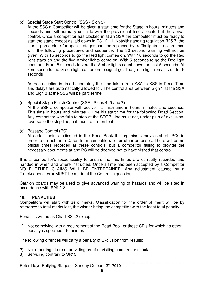- (c) Special Stage Start Control (SSS Sign 3)
	- At the SSS a Competitor will be given a start time for the Stage in hours, minutes and seconds and will normally coincide with the provisional time allocated at the arrival control. Once a competitor has clocked in at an SSA the competitor must be ready to start the stage except as laid down in R31.2.11. Notwithstanding regulation R25.7, the starting procedure for special stages shall be replaced by traffic lights in accordance with the following procedures and sequence. The 30 second warning will not be given. With 15 seconds to go the Red light comes on. With 10 seconds to go the Red light stays on and the five Amber lights come on. With 5 seconds to go the Red light goes out. From 5 seconds to zero the Amber lights count down the last 5 seconds. At zero seconds the Green light comes on to signal go. The green light remains on for 5 seconds

 As each section is timed separately the time taken from SSA to SSS is Dead Time and delays are automatically allowed for. The control area between Sign 1 at the SSA and Sign 3 at the SSS will be parc ferme

(d) Special Stage Finish Control (SSF - Signs 4, 5 and 7)

 At the SSF a competitor will receive his finish time in hours, minutes and seconds. This time in hours and minutes will be his start time for the following Road Section. Any competitor who fails to stop at the STOP Line must not, under pain of exclusion, reverse to the stop line, but must return on foot.

(e) Passage Control (PC)

 At certain points indicated in the Road Book the organisers may establish PCs in order to collect Time Cards from competitors or for other purposes. There will be no official times recorded at these controls, but a competitor failing to provide the necessary documents at any PC will be deemed not to have visited that control.

It is a competitor's responsibility to ensure that his times are correctly recorded and handed in when and where instructed. Once a time has been accepted by a Competitor NO FURTHER CLAIMS WILL BE ENTERTAINED. Any adjustment caused by a Timekeeper's error MUST be made at the Control in question.

Caution boards may be used to give advanced warning of hazards and will be sited in accordance with R29.2.2.

#### **18. PENALTIES**

Competitors will start with zero marks. Classification for the order of merit will be by reference to total marks lost, the winner being the competitor with the least total penalty.

Penalties will be as Chart R32.2 except:

1) Not complying with a requirement of the Road Book or these SR's for which no other penalty is specified - 5 minutes

The following offences will carry a penalty of Exclusion from results:

- 2) Not reporting at or not providing proof of visiting a control or check
- 3) Servicing contrary to SR15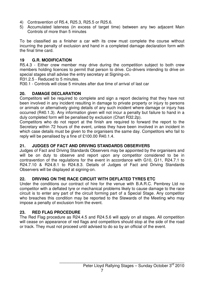- 4) Contravention of R5.4, R25.3, R25.5 or R25.6.
- 5) Accumulated lateness (in excess of target time) between any two adjacent Main Controls of more than 5 minutes

To be classified as a finisher a car with its crew must complete the course without incurring the penalty of exclusion and hand in a completed damage declaration form with the final time card.

#### **19 G.R. MODIFICATION**

R5.4.3 - Either crew member may drive during the competition subject to both crew members holding licences to permit that person to drive. Co-drivers intending to drive on special stages shall advise the entry secretary at Signing-on.

R31.2.5 - Reduced to 5 minutes.

R30.1 - Controls will close 5 minutes after due time of arrival of last car

#### **20. DAMAGE DECLARATION**

Competitors will be required to complete and sign a report declaring that they have not been involved in any incident resulting in damage to private property or injury to persons or animals or alternatively giving details of any such incident where damage or injury has occurred (R40.1.3). Any information given will not incur a penalty but failure to hand in a duly completed form will be penalised by exclusion (Chart R32.2p).

Competitors who do not report at the finish are required to forward the report to the Secretary within 72 hours of the event, unless they have been involved in an incident in which case details must be given to the organisers the same day. Competitors who fail to reply will be penalised by a fine of £100.00 R40.1.4.

#### **21. JUDGES OF FACT AND DRIVING STANDARDS OBSERVERS**

Judges of Fact and Driving Standards Observers may be appointed by the organisers and will be on duty to observe and report upon any competitor considered to be in contravention of the regulations for the event in accordance with G10, G11, R24.7.1 to R24.7.10 & R24.8.1 to R24.8.3. Details of Judges of Fact and Driving Standards Observers will be displayed at signing-on.

#### **22. DRIVING ON THE RACE CIRCUIT WITH DEFLATED TYRES ETC**

Under the conditions our contract of hire for the venue with B.A.R.C. Pembrey Ltd no competitor with a deflated tyre or mechanical problems likely to cause damage to the race circuit is to enter any part of the circuit forming part of a Special Stage. Any competitor who breaches this condition may be reported to the Stewards of the Meeting who may impose a penalty of exclusion from the event.

#### **23. RED FLAG PROCEDURE**

The Red Flag procedure as R24.4.5 and R24.5.6 will apply on all stages. All competition will cease on appearance of red flags and competitors should stop at the side of the road or track. They must not proceed until advised to do so by an official of the event.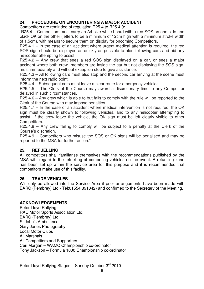#### **24. PROCEDURE ON ENCOUNTERING A MAJOR ACCIDENT**

Competitors are reminded of regulation R25.4 to R25.4.9:

"R25.4 – Competitors must carry an A4-size white board with a red SOS on one side and black OK on the other (letters to be a minimum of 12cm high with a minimum stroke width of 1.5cm), with means to secure them on display for oncoming Competitors.

R25.4.1 – In the case of an accident where urgent medical attention is required, the red SOS sign should be displayed as quickly as possible to alert following cars and aid any helicopter attempting to assist.

R25.4.2 – Any crew that sees a red SOS sign displayed on a car, or sees a major accident where both crew members are inside the car but not displaying the SOS sign, must immediately and without exception stop to give assistance.

R25.4.3 – All following cars must also stop and the second car arriving at the scene must inform the next radio point.

R25.4.4 – Subsequent cars must leave a clear route for emergency vehicles.

R25.4.5 – The Clerk of the Course may award a discretionary time to any Competitor delayed in such circumstances.

R25.4.6 – Any crew which is able to but fails to comply with the rule will be reported to the Clerk of the Course who may impose penalties.

 $R25.4.7 -$  In the case of an accident where medical intervention is not required, the OK sign must be clearly shown to following vehicles, and to any helicopter attempting to assist. If the crew leave the vehicle, the OK sign must be left clearly visible to other Competitors.

R25.4.8 – Any crew failing to comply will be subject to a penalty at the Clerk of the Course's discretion.

R25.4.9 – Competitors who misuse the SOS or OK signs will be penalised and may be reported to the MSA for further action."

#### **25. REFUELLING**

All competitors shall familiarise themselves with the recommendations published by the MSA with regard to the refuelling of competing vehicles on the event. A refuelling zone has been set up within the service area for this purpose and it is recommended that competitors make use of this facility.

#### **26. TRADE VEHICLES**

Will only be allowed into the Service Area if prior arrangements have been made with BARC (Pembrey) Ltd - Tel:01554 891042) and confirmed to the Secretary of the Meeting.

#### **ACKNOWLEDGEMENTS**

Peter Lloyd Rallying RAC Motor Sports Association Ltd. BARC (Pembrey) Ltd St John's Ambulance Gary Jones Photography Local Motor Clubs All Marshals All Competitors and Supporters Ceri Morgan – WAMC Championship co-ordinator Tony Jackson – Formula 1000 Championship co-ordinator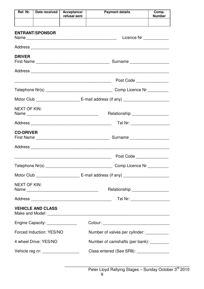| Ref. Nr.                           | Date received                    | Acceptance/<br>refusal sent | <b>Payment details</b>                      | Comp.<br><b>Number</b> |  |  |  |
|------------------------------------|----------------------------------|-----------------------------|---------------------------------------------|------------------------|--|--|--|
|                                    |                                  |                             |                                             |                        |  |  |  |
|                                    | <b>ENTRANT/SPONSOR</b>           |                             | Licence Nr _____________                    |                        |  |  |  |
|                                    |                                  |                             |                                             |                        |  |  |  |
| <b>DRIVER</b>                      |                                  |                             |                                             |                        |  |  |  |
|                                    |                                  |                             |                                             |                        |  |  |  |
|                                    |                                  |                             | Post Code _______________                   |                        |  |  |  |
|                                    |                                  |                             |                                             |                        |  |  |  |
|                                    |                                  |                             |                                             |                        |  |  |  |
| <b>NEXT OF KIN:</b>                |                                  |                             | Relationship ___________________            |                        |  |  |  |
|                                    |                                  |                             | Tel Nr: ____________________                |                        |  |  |  |
| <b>CO-DRIVER</b>                   |                                  |                             |                                             |                        |  |  |  |
|                                    |                                  |                             |                                             |                        |  |  |  |
|                                    |                                  |                             | Post Code                                   |                        |  |  |  |
|                                    |                                  |                             | Comp Licence Nr __________                  |                        |  |  |  |
|                                    |                                  |                             |                                             |                        |  |  |  |
| <b>NEXT OF KIN:</b>                |                                  |                             | Relationship _________________              |                        |  |  |  |
|                                    |                                  |                             | Tel Nr: ____________________                |                        |  |  |  |
|                                    | <b>VEHICLE AND CLASS</b>         |                             |                                             |                        |  |  |  |
|                                    | Engine Capacity: _______________ |                             |                                             |                        |  |  |  |
| Forced Induction: YES/NO           |                                  |                             | Number of valves per cylinder: ____________ |                        |  |  |  |
| 4 wheel Drive: YES/NO              |                                  |                             | Number of camshafts (per bank): _________   |                        |  |  |  |
| Vehicle reg nr: __________________ |                                  |                             | Class entered (See SR8): ________________   |                        |  |  |  |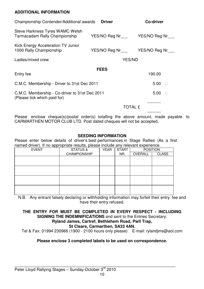#### **ADDITIONAL INFORMATION**

| Championship Contender/Additional awards                                       | <b>Driver</b>                            | <b>Co-driver</b> |
|--------------------------------------------------------------------------------|------------------------------------------|------------------|
| Steve Harkness Tyres WAMC Welsh<br>Tarmacadam Rally Championship               | YES/NO Reg Nr__________YES/NO Reg Nr____ |                  |
| Kick Energy Acceleration TV Junior<br>1000 Rally Championship                  | YES/NO Reg Nr YES/NO Reg Nr              |                  |
| Ladies/mixed crew                                                              | <b>YES/NO</b>                            |                  |
| Entry fee                                                                      | <b>FEES</b>                              | 190.00           |
| C.M.C. Membership - Driver to 31st Dec 2011                                    |                                          | 5.00             |
| C.M.C. Membership - Co-driver to 31st Dec 2011<br>(Please tick which paid for) |                                          | 5.00             |
|                                                                                | <b>TOTAL £</b>                           |                  |
|                                                                                |                                          |                  |

Please enclose cheque(s)/postal order(s) totalling the above amount, made payable to CARMARTHEN MOTOR CLUB LTD. Post dated cheques will not be accepted.

#### **SEEDING INFORMATION**

Please enter below details of driver's best performances in Stage Rallies (As a first named driver). If no appropriate results, please include any relevant experience.

|              | $\overline{\phantom{a}}$ |             |              |                 |              |
|--------------|--------------------------|-------------|--------------|-----------------|--------------|
| <b>EVENT</b> | <b>STATUS &amp;</b>      | <b>YEAR</b> | <b>START</b> | <b>POSITION</b> |              |
|              | <b>CHAMPIONSHIP</b>      |             | NR.          | OVERALL         | <b>CLASS</b> |
|              |                          |             |              |                 |              |
|              |                          |             |              |                 |              |
|              |                          |             |              |                 |              |
|              |                          |             |              |                 |              |
|              |                          |             |              |                 |              |
|              |                          |             |              |                 |              |
|              |                          |             |              |                 |              |
|              |                          |             |              |                 |              |
|              |                          |             |              |                 |              |

N.B. Any entrant falsely declaring or withholding information may forfeit their entry fee and have their entry refused.

#### **THE ENTRY FOR MUST BE COMPLETED IN EVERY RESPECT - INCLUDING SIGNING THE INDEMNIFICATIONS** and sent to the Entries Secretary:

#### **Ryland James, Cartref, Bethlehem Road, Pwll Trap,**

#### **St Clears, Carmarthen, SA33 4AN.**

Tel & Fax: 01994 230966 (1900 - 2100 hours only please) E-mail: rylandjms@aol.com

#### **Please enclose 3 completed labels to be used on correspondence.**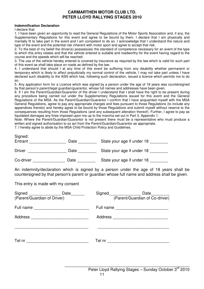#### **CARMARTHEN MOTOR CLUB LTD. PETER LLOYD RALLYING STAGES 2010**

#### **Indemnification Declaration**

I declare that:

1. I have been given an opportunity to read the General Regulations of the Motor Sports Association and, if any, the Supplementary Regulations for this event and agree to be bound by them. I declare that I am physically and mentally fit to take part in the event and I am competent to do so. I acknowledge that I understand the nature and type of the event and the potential risk inherent with motor sport and agree to accept that risk.

2. To the best of my belief the driver(s) possess(es) the standard of competence necessary for an event of the type to which this entry relates and that the vehicle entered is suitable and roadworthy for the event having regard to the course and the speeds which will be reached.

3. The use of the vehicle hereby entered is covered by insurance as required by the law which is valid for such part of this event as shall take place on roads as defined by the law.

4. I understand that should I at any time of this event be suffering from any disability whether permanent or temporary which is likely to affect prejudicially my normal control of the vehicle, I may not take part unless I have declared such disability to the ASN which has, following such declaration, issued a licence which permits me to do so.

5. Any application form for a Licence which was signed by a person under the age of 18 years was countersigned by that person's parent/legal guardian/guarantor, whose full names and addresses have been given.

6. If I am the Parent/Guardian/Guarantor of the driver I understand that I shall have the right to be present during any procedure being carried out under the Supplementary Regulations issued for this event and the General Regulations of the MSA. As the Parent/Guardian/Guarantor I confirm that I have acquainted myself with the MSA General Regulations, agree to pay any appropriate charges and fees pursuant to those Regulations (to include any appendices thereto) and hereby agree to be bound by those Regulations and submit myself without reserve to the consequences resulting from those Regulations (and any subsequent alteration thereof). Further, I agree to pay as liquidated damages any fines imposed upon me up to the maxima set out in Part 3, Appendix 1.

Note: Where the Parent/Guardian/Guarantor is not present there must be a representative who must produce a written and signed authorisation to so act from the Parent/Guardian/Guarantor as appropriate.

7. I hereby agree to abide by the MSA Child Protection Policy and Guidelines.

| Signed:<br>Entrant | Date | State your age if under 18 |
|--------------------|------|----------------------------|
| <b>Driver</b>      | Date | State your age if under 18 |
| Co-driver          | Date | State your age if under 18 |

An indemnity/declaration which is signed by a person under the age of 18 years shall be countersigned by that person's parent or guardian whose full name and address shall be given.

This entry is made with my consent

| Signed _______________<br>(Parent/Guardian of Driver) | Date <sub>________</sub> | Signed_______________      | Date<br>(Parent/Guardian of Co-driver) |
|-------------------------------------------------------|--------------------------|----------------------------|----------------------------------------|
|                                                       |                          |                            |                                        |
| Address                                               |                          | Address                    |                                        |
| Tel nr                                                |                          | Tel nr <b>Execute 1999</b> |                                        |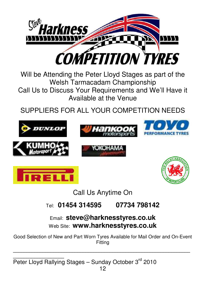

Will be Attending the Peter Lloyd Stages as part of the Welsh Tarmacadam Championship Call Us to Discuss Your Requirements and We'll Have it Available at the Venue

SUPPLIERS FOR ALL YOUR COMPETITION NEEDS







YOKOHAMA





Call Us Anytime On

#### Tel: **01454 314595 07734 798142**

Email: **steve@harknesstyres.co.uk**  Web Site: **www.harknesstyres.co.uk**

Good Selection of New and Part Worn Tyres Available for Mail Order and On-Event Fitting

**\_\_\_\_\_\_\_\_\_\_\_\_\_\_\_\_\_\_\_\_\_\_\_\_\_\_\_\_\_\_\_\_\_\_\_\_\_\_\_\_\_\_\_\_\_\_\_\_\_\_\_\_\_\_\_\_\_\_\_\_\_\_\_\_\_\_**

**\_\_\_\_\_\_\_\_\_\_\_\_\_\_\_\_\_\_\_**  Peter Lloyd Rallying Stages – Sunday October 3<sup>rd</sup> 2010